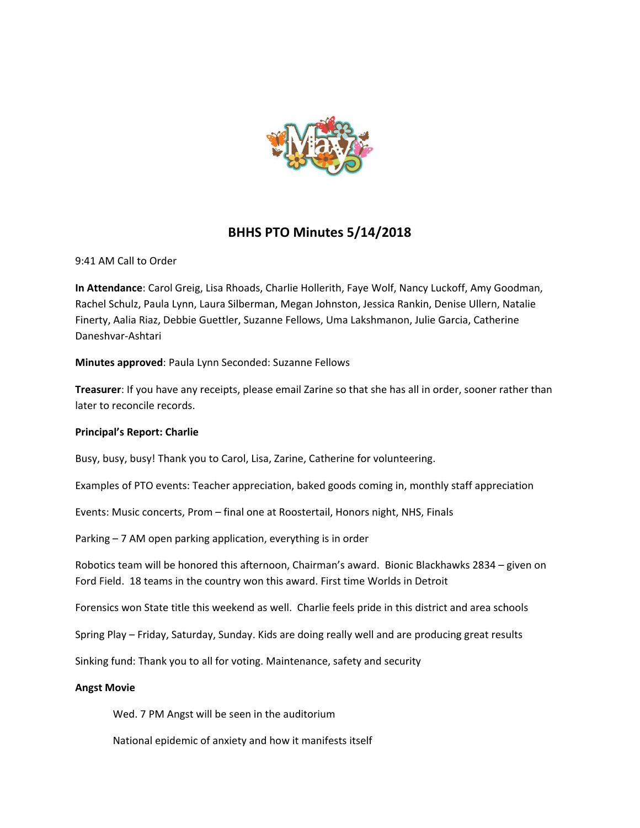

# **BHHS PTO Minutes 5/14/2018**

9:41 AM Call to Order

**In Attendance**: Carol Greig, Lisa Rhoads, Charlie Hollerith, Faye Wolf, Nancy Luckoff, Amy Goodman, Rachel Schulz, Paula Lynn, Laura Silberman, Megan Johnston, Jessica Rankin, Denise Ullern, Natalie Finerty, Aalia Riaz, Debbie Guettler, Suzanne Fellows, Uma Lakshmanon, Julie Garcia, Catherine Daneshvar-Ashtari

**Minutes approved**: Paula Lynn Seconded: Suzanne Fellows

**Treasurer**: If you have any receipts, please email Zarine so that she has all in order, sooner rather than later to reconcile records.

#### **Principal's Report: Charlie**

Busy, busy, busy! Thank you to Carol, Lisa, Zarine, Catherine for volunteering.

Examples of PTO events: Teacher appreciation, baked goods coming in, monthly staff appreciation

Events: Music concerts, Prom – final one at Roostertail, Honors night, NHS, Finals

Parking – 7 AM open parking application, everything is in order

Robotics team will be honored this afternoon, Chairman's award. Bionic Blackhawks 2834 – given on Ford Field. 18 teams in the country won this award. First time Worlds in Detroit

Forensics won State title this weekend as well. Charlie feels pride in this district and area schools

Spring Play – Friday, Saturday, Sunday. Kids are doing really well and are producing great results

Sinking fund: Thank you to all for voting. Maintenance, safety and security

#### **Angst Movie**

Wed. 7 PM Angst will be seen in the auditorium

National epidemic of anxiety and how it manifests itself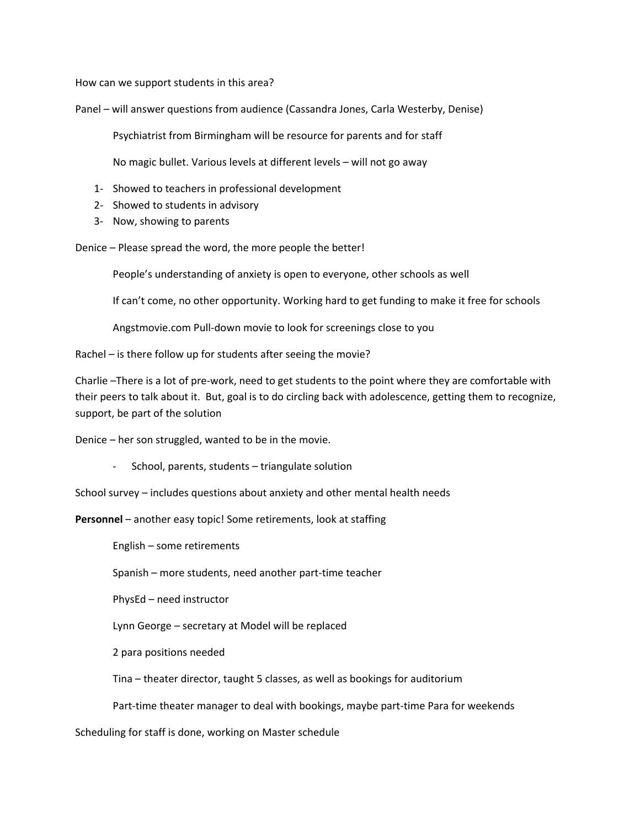How can we support students in this area?

Panel – will answer questions from audience (Cassandra Jones, Carla Westerby, Denise)

Psychiatrist from Birmingham will be resource for parents and for staff

No magic bullet. Various levels at different levels – will not go away

- 1- Showed to teachers in professional development
- 2- Showed to students in advisory
- 3- Now, showing to parents

Denice – Please spread the word, the more people the better!

People's understanding of anxiety is open to everyone, other schools as well

If can't come, no other opportunity. Working hard to get funding to make it free for schools

Angstmovie.com Pull-down movie to look for screenings close to you

Rachel – is there follow up for students after seeing the movie?

Charlie –There is a lot of pre-work, need to get students to the point where they are comfortable with their peers to talk about it. But, goal is to do circling back with adolescence, getting them to recognize, support, be part of the solution

Denice – her son struggled, wanted to be in the movie.

- School, parents, students – triangulate solution

School survey – includes questions about anxiety and other mental health needs

**Personnel** – another easy topic! Some retirements, look at staffing

English – some retirements

Spanish – more students, need another part-time teacher

PhysEd – need instructor

Lynn George – secretary at Model will be replaced

2 para positions needed

Tina – theater director, taught 5 classes, as well as bookings for auditorium

Part-time theater manager to deal with bookings, maybe part-time Para for weekends

Scheduling for staff is done, working on Master schedule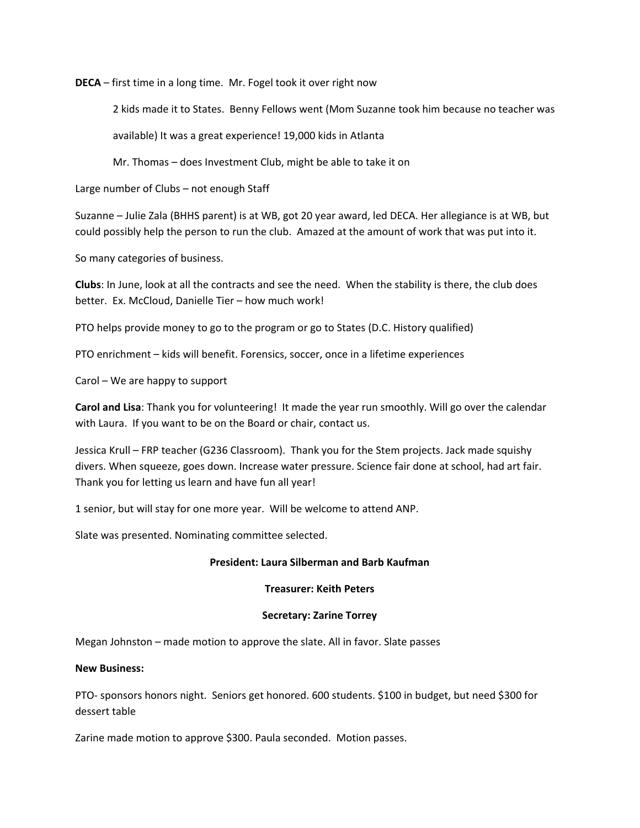**DECA** – first time in a long time. Mr. Fogel took it over right now

2 kids made it to States. Benny Fellows went (Mom Suzanne took him because no teacher was

available) It was a great experience! 19,000 kids in Atlanta

Mr. Thomas – does Investment Club, might be able to take it on

Large number of Clubs – not enough Staff

Suzanne – Julie Zala (BHHS parent) is at WB, got 20 year award, led DECA. Her allegiance is at WB, but could possibly help the person to run the club. Amazed at the amount of work that was put into it.

So many categories of business.

**Clubs**: In June, look at all the contracts and see the need. When the stability is there, the club does better. Ex. McCloud, Danielle Tier – how much work!

PTO helps provide money to go to the program or go to States (D.C. History qualified)

PTO enrichment – kids will benefit. Forensics, soccer, once in a lifetime experiences

Carol – We are happy to support

**Carol and Lisa**: Thank you for volunteering! It made the year run smoothly. Will go over the calendar with Laura. If you want to be on the Board or chair, contact us.

Jessica Krull – FRP teacher (G236 Classroom). Thank you for the Stem projects. Jack made squishy divers. When squeeze, goes down. Increase water pressure. Science fair done at school, had art fair. Thank you for letting us learn and have fun all year!

1 senior, but will stay for one more year. Will be welcome to attend ANP.

Slate was presented. Nominating committee selected.

#### **President: Laura Silberman and Barb Kaufman**

#### **Treasurer: Keith Peters**

#### **Secretary: Zarine Torrey**

Megan Johnston – made motion to approve the slate. All in favor. Slate passes

#### **New Business:**

PTO- sponsors honors night. Seniors get honored. 600 students. \$100 in budget, but need \$300 for dessert table

Zarine made motion to approve \$300. Paula seconded. Motion passes.